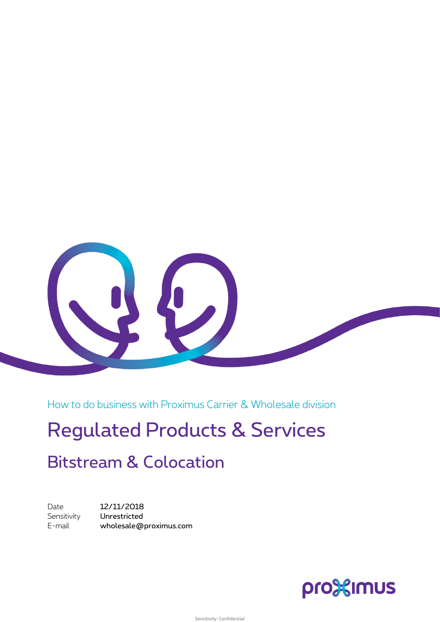

How to do business with Proximus Carrier & Wholesale division

# Regulated Products & Services

## Bitstream & Colocation

Date **12/11/2018** Sensitivity **Unrestricted** E-mail wholesale@proximus.com

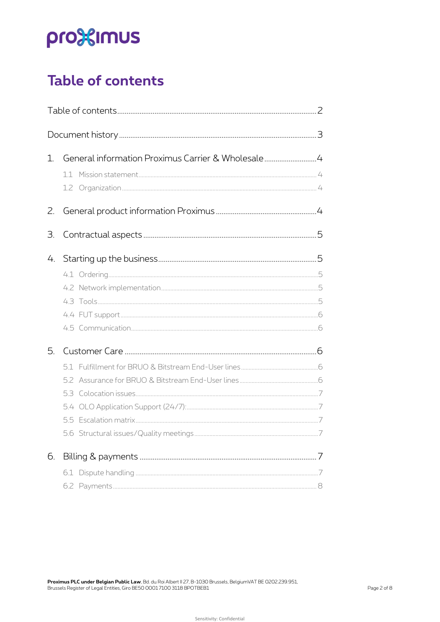# pro<sup>32</sup>imus

## <span id="page-1-0"></span>**Table of contents**

| $1_{\cdot}$ | General information Proximus Carrier & Wholesale4 |  |
|-------------|---------------------------------------------------|--|
| 2.          |                                                   |  |
| 3.          |                                                   |  |
| 4.          |                                                   |  |
| 5.          |                                                   |  |
|             |                                                   |  |
| 6.          |                                                   |  |
|             |                                                   |  |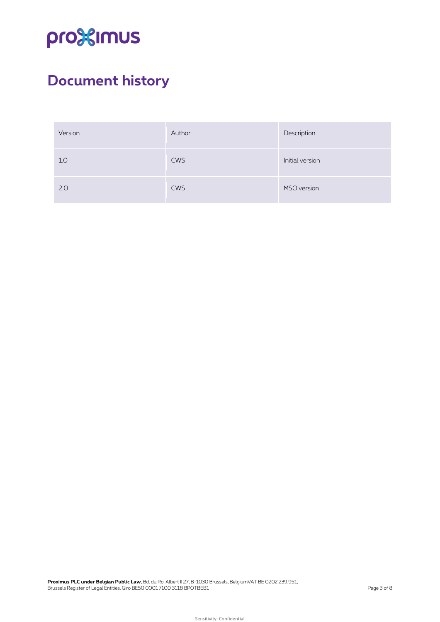# pro<sup>32</sup>imus

## <span id="page-2-0"></span>**Document history**

| Version | Author     | Description     |
|---------|------------|-----------------|
| 1.0     | <b>CWS</b> | Initial version |
| 2.0     | <b>CWS</b> | MSO version     |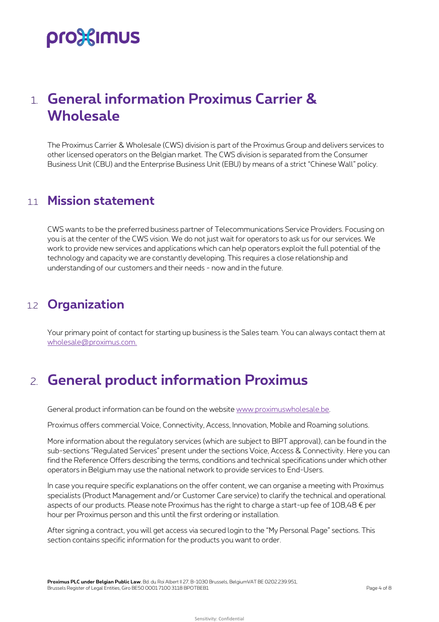# pro%imus

### <span id="page-3-0"></span>1. **General information Proximus Carrier & Wholesale**

The Proximus Carrier & Wholesale (CWS) division is part of the Proximus Group and delivers services to other licensed operators on the Belgian market. The CWS division is separated from the Consumer Business Unit (CBU) and the Enterprise Business Unit (EBU) by means of a strict "Chinese Wall" policy.

#### <span id="page-3-1"></span>1.1 **Mission statement**

CWS wants to be the preferred business partner of Telecommunications Service Providers. Focusing on you is at the center of the CWS vision. We do not just wait for operators to ask us for our services. We work to provide new services and applications which can help operators exploit the full potential of the technology and capacity we are constantly developing. This requires a close relationship and understanding of our customers and their needs - now and in the future.

### <span id="page-3-2"></span>1.2 **Organization**

<span id="page-3-3"></span>Your primary point of contact for starting up business is the Sales team. You can always contact them at wholesale@proximus.com.

### 2. **General product information Proximus**

General product information can be found on the website www.proximuswholesale.be.

Proximus offers commercial Voice, Connectivity, Access, Innovation, Mobile and Roaming solutions.

More information about the regulatory services (which are subject to BIPT approval), can be found in the sub-sections "Regulated Services" present under the sections Voice, Access & Connectivity. Here you can find the Reference Offers describing the terms, conditions and technical specifications under which other operators in Belgium may use the national network to provide services to End-Users.

In case you require specific explanations on the offer content, we can organise a meeting with Proximus specialists (Product Management and/or Customer Care service) to clarify the technical and operational aspects of our products. Please note Proximus has the right to charge a start-up fee of  $108,48 \notin$  per hour per Proximus person and this until the first ordering or installation.

After signing a contract, you will get access via secured login to the "My Personal Page" sections. This section contains specific information for the products you want to order.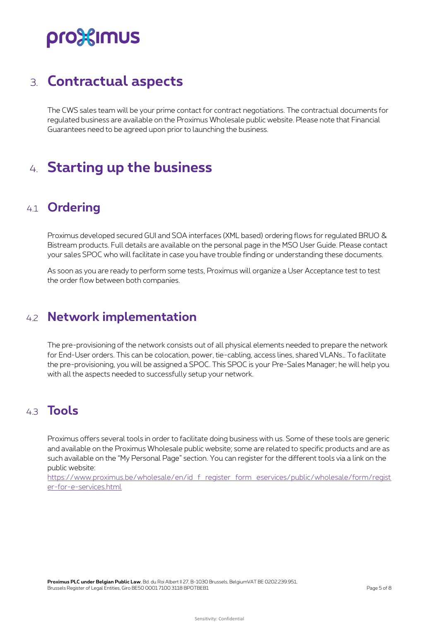# pro<sup>32</sup>imus

### <span id="page-4-0"></span>3. **Contractual aspects**

The CWS sales team will be your prime contact for contract negotiations. The contractual documents for regulated business are available on the Proximus Wholesale public website. Please note that Financial Guarantees need to be agreed upon prior to launching the business.

### <span id="page-4-1"></span>4. **Starting up the business**

### <span id="page-4-2"></span>4.1 **Ordering**

Proximus developed secured GUI and SOA interfaces (XML based) ordering flows for regulated BRUO & Bistream products. Full details are available on the personal page in the MSO User Guide. Please contact your sales SPOC who will facilitate in case you have trouble finding or understanding these documents.

<span id="page-4-3"></span>As soon as you are ready to perform some tests, Proximus will organize a User Acceptance test to test the order flow between both companies.

#### 4.2 **Network implementation**

The pre-provisioning of the network consists out of all physical elements needed to prepare the network for End-User orders. This can be colocation, power, tie-cabling, access lines, shared VLANs… To facilitate the pre-provisioning, you will be assigned a SPOC. This SPOC is your Pre-Sales Manager; he will help you with all the aspects needed to successfully setup your network.

#### <span id="page-4-4"></span>4.3 **Tools**

Proximus offers several tools in order to facilitate doing business with us. Some of these tools are generic and available on the Proximus Wholesale public website; some are related to specific products and are as such available on the "My Personal Page" section. You can register for the different tools via a link on the public website:

[https://www.proximus.be/wholesale/en/id\\_f\\_register\\_form\\_eservices/public/wholesale/form/regist](https://eur03.safelinks.protection.outlook.com/?url=https%3A%2F%2Fwww.proximus.be%2Fwholesale%2Fen%2Fid_f_register_form_eservices%2Fpublic%2Fwholesale%2Fform%2Fregister-for-e-services.html&data=02%7C01%7Ckatleen.rigaux%40proximus.com%7Cb06f1268ead941b6e07a08d863b8738c%7Ce7ab81b21e844bf79dcbb6fec01ed138%7C0%7C0%7C637368991151176959&sdata=00URFlR96Wm3nLB7QG%2BXmH7LCgoTyfLjitcJ1H1vAWc%3D&reserved=0) [er-for-e-services.html](https://eur03.safelinks.protection.outlook.com/?url=https%3A%2F%2Fwww.proximus.be%2Fwholesale%2Fen%2Fid_f_register_form_eservices%2Fpublic%2Fwholesale%2Fform%2Fregister-for-e-services.html&data=02%7C01%7Ckatleen.rigaux%40proximus.com%7Cb06f1268ead941b6e07a08d863b8738c%7Ce7ab81b21e844bf79dcbb6fec01ed138%7C0%7C0%7C637368991151176959&sdata=00URFlR96Wm3nLB7QG%2BXmH7LCgoTyfLjitcJ1H1vAWc%3D&reserved=0)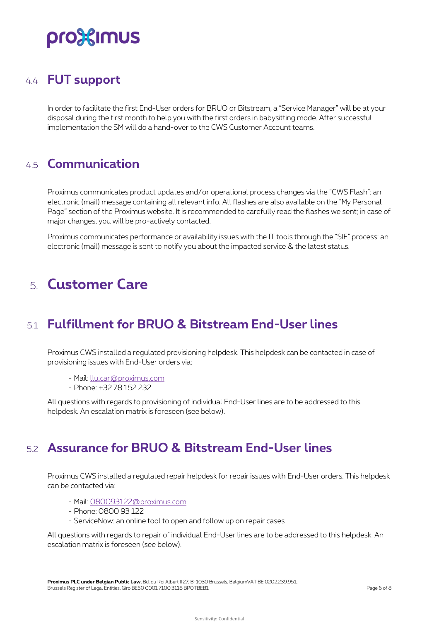# pro%imus

### <span id="page-5-0"></span>4.4 **FUT support**

In order to facilitate the first End-User orders for BRUO or Bitstream, a "Service Manager" will be at your disposal during the first month to help you with the first orders in babysitting mode. After successful implementation the SM will do a hand-over to the CWS Customer Account teams.

#### <span id="page-5-1"></span>4.5 **Communication**

Proximus communicates product updates and/or operational process changes via the "CWS Flash": an electronic (mail) message containing all relevant info. All flashes are also available on the "My Personal Page" section of the Proximus website. It is recommended to carefully read the flashes we sent; in case of major changes, you will be pro-actively contacted.

<span id="page-5-2"></span>Proximus communicates performance or availability issues with the IT tools through the "SIF" process: an electronic (mail) message is sent to notify you about the impacted service & the latest status.

### 5. **Customer Care**

### <span id="page-5-3"></span>5.1 **Fulfillment for BRUO & Bitstream End-User lines**

Proximus CWS installed a regulated provisioning helpdesk. This helpdesk can be contacted in case of provisioning issues with End-User orders via:

- Mail: llu.car@proximus.com
- Phone: +32 78 152 232

<span id="page-5-4"></span>All questions with regards to provisioning of individual End-User lines are to be addressed to this helpdesk. An escalation matrix is foreseen (see below).

#### 5.2 **Assurance for BRUO & Bitstream End-User lines**

Proximus CWS installed a regulated repair helpdesk for repair issues with End-User orders. This helpdesk can be contacted via:

- Mail: 080093122@proximus.com
- Phone: 0800 93 122
- ServiceNow: an online tool to open and follow up on repair cases

All questions with regards to repair of individual End-User lines are to be addressed to this helpdesk. An escalation matrix is foreseen (see below).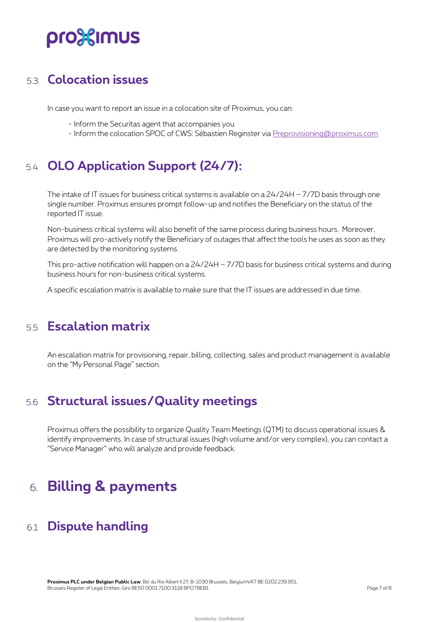# pro%imus

### <span id="page-6-0"></span>5.3 **Colocation issues**

In case you want to report an issue in a colocation site of Proximus, you can:

- Inform the Securitas agent that accompanies you
- Inform the colocation SPOC of CWS: Sébastien Reginster via Preprovisioning@proximus.com

### <span id="page-6-1"></span>5.4 **OLO Application Support (24/7):**

The intake of IT issues for business critical systems is available on a  $24/24H - 7/7D$  basis through one single number. Proximus ensures prompt follow-up and notifies the Beneficiary on the status of the reported IT issue.

Non-business critical systems will also benefit of the same process during business hours. Moreover, Proximus will pro-actively notify the Beneficiary of outages that affect the tools he uses as soon as they are detected by the monitoring systems.

This pro-active notification will happen on a 24/24H – 7/7D basis for business critical systems and during business hours for non-business critical systems.

<span id="page-6-2"></span>A specific escalation matrix is available to make sure that the IT issues are addressed in due time.

### 5.5 **Escalation matrix**

<span id="page-6-3"></span>An escalation matrix for provisioning, repair, billing, collecting, sales and product management is available on the "My Personal Page" section.

### 5.6 **Structural issues/Quality meetings**

Proximus offers the possibility to organize Quality Team Meetings (QTM) to discuss operational issues & identify improvements. In case of structural issues (high volume and/or very complex), you can contact a "Service Manager" who will analyze and provide feedback.

### <span id="page-6-4"></span>6. **Billing & payments**

### <span id="page-6-5"></span>6.1 **Dispute handling**